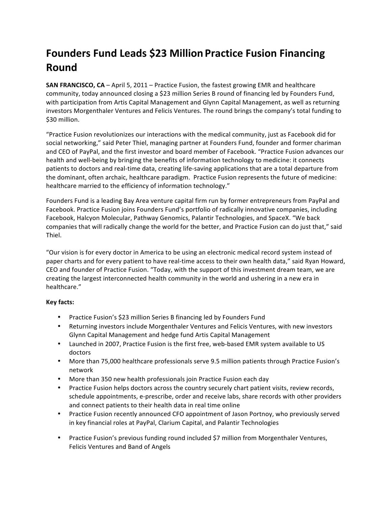# **Founders)Fund)Leads)\$23)Million Practice)Fusion Financing) Round**

**SAN FRANCISCO, CA** – April 5, 2011 – Practice Fusion, the fastest growing EMR and healthcare community, today announced closing a \$23 million Series B round of financing led by Founders Fund, with participation from Artis Capital Management and Glynn Capital Management, as well as returning investors Morgenthaler Ventures and Felicis Ventures. The round brings the company's total funding to \$30 million.

"Practice Fusion revolutionizes our interactions with the medical community, just as Facebook did for social networking," said Peter Thiel, managing partner at Founders Fund, founder and former chariman and CEO of PayPal, and the first investor and board member of Facebook. "Practice Fusion advances our health and well-being by bringing the benefits of information technology to medicine: it connects patients to doctors and real-time data, creating life-saving applications that are a total departure from the dominant, often archaic, healthcare paradigm. Practice Fusion represents the future of medicine: healthcare married to the efficiency of information technology."

Founders Fund is a leading Bay Area venture capital firm run by former entrepreneurs from PayPal and Facebook. Practice Fusion joins Founders Fund's portfolio of radically innovative companies, including Facebook, Halcyon Molecular, Pathway Genomics, Palantir Technologies, and SpaceX. "We back companies that will radically change the world for the better, and Practice Fusion can do just that," said Thiel.

"Our vision is for every doctor in America to be using an electronic medical record system instead of paper charts and for every patient to have real-time access to their own health data," said Ryan Howard, CEO and founder of Practice Fusion. "Today, with the support of this investment dream team, we are creating the largest interconnected health community in the world and ushering in a new era in healthcare."

## **Key)facts:**

- Practice Fusion's \$23 million Series B financing led by Founders Fund
- Returning investors include Morgenthaler Ventures and Felicis Ventures, with new investors Glynn Capital Management and hedge fund Artis Capital Management
- Launched in 2007, Practice Fusion is the first free, web-based EMR system available to US doctors
- More than 75,000 healthcare professionals serve 9.5 million patients through Practice Fusion's network
- More than 350 new health professionals join Practice Fusion each day
- Practice Fusion helps doctors across the country securely chart patient visits, review records, schedule appointments, e-prescribe, order and receive labs, share records with other providers and connect patients to their health data in real time online
- Practice Fusion recently announced CFO appointment of Jason Portnoy, who previously served in key financial roles at PayPal, Clarium Capital, and Palantir Technologies
- Practice Fusion's previous funding round included \$7 million from Morgenthaler Ventures, Felicis Ventures and Band of Angels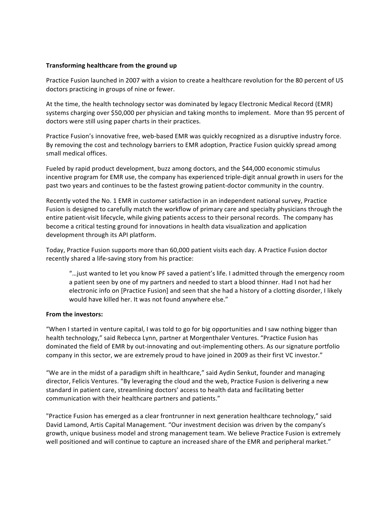### Transforming healthcare from the ground up

Practice Fusion launched in 2007 with a vision to create a healthcare revolution for the 80 percent of US doctors practicing in groups of nine or fewer.

At the time, the health technology sector was dominated by legacy Electronic Medical Record (EMR) systems charging over \$50,000 per physician and taking months to implement. More than 95 percent of doctors were still using paper charts in their practices.

Practice Fusion's innovative free, web-based EMR was quickly recognized as a disruptive industry force. By removing the cost and technology barriers to EMR adoption, Practice Fusion quickly spread among small medical offices.

Fueled by rapid product development, buzz among doctors, and the \$44,000 economic stimulus incentive program for EMR use, the company has experienced triple-digit annual growth in users for the past two years and continues to be the fastest growing patient-doctor community in the country.

Recently voted the No. 1 EMR in customer satisfaction in an independent national survey, Practice Fusion is designed to carefully match the workflow of primary care and specialty physicians through the entire patient-visit lifecycle, while giving patients access to their personal records. The company has become a critical testing ground for innovations in health data visualization and application development through its API platform.

Today, Practice Fusion supports more than 60,000 patient visits each day. A Practice Fusion doctor recently shared a life-saving story from his practice:

"... just wanted to let you know PF saved a patient's life. I admitted through the emergency room a patient seen by one of my partners and needed to start a blood thinner. Had I not had her electronic info on [Practice Fusion] and seen that she had a history of a clotting disorder, I likely would have killed her. It was not found anywhere else."

#### From the investors:

"When I started in venture capital, I was told to go for big opportunities and I saw nothing bigger than health technology," said Rebecca Lynn, partner at Morgenthaler Ventures. "Practice Fusion has dominated the field of EMR by out-innovating and out-implementing others. As our signature portfolio company in this sector, we are extremely proud to have joined in 2009 as their first VC investor."

"We are in the midst of a paradigm shift in healthcare," said Aydin Senkut, founder and managing director, Felicis Ventures. "By leveraging the cloud and the web, Practice Fusion is delivering a new standard in patient care, streamlining doctors' access to health data and facilitating better communication with their healthcare partners and patients."

"Practice Fusion has emerged as a clear frontrunner in next generation healthcare technology," said David Lamond, Artis Capital Management. "Our investment decision was driven by the company's growth, unique business model and strong management team. We believe Practice Fusion is extremely well positioned and will continue to capture an increased share of the EMR and peripheral market."